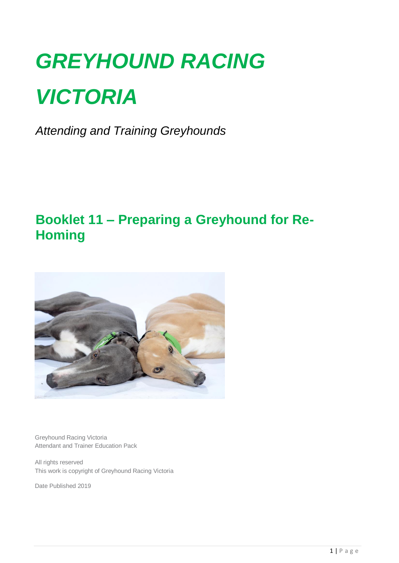# *GREYHOUND RACING VICTORIA*

*Attending and Training Greyhounds*

## **Booklet 11 – Preparing a Greyhound for Re-Homing**



Greyhound Racing Victoria Attendant and Trainer Education Pack

All rights reserved This work is copyright of Greyhound Racing Victoria

Date Published 2019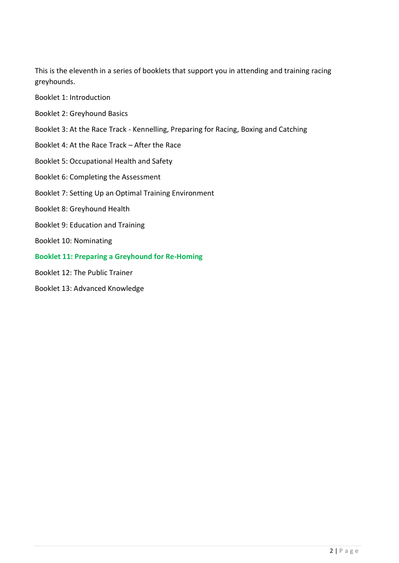This is the eleventh in a series of booklets that support you in attending and training racing greyhounds.

- Booklet 1: Introduction
- Booklet 2: Greyhound Basics
- Booklet 3: At the Race Track Kennelling, Preparing for Racing, Boxing and Catching
- Booklet 4: At the Race Track After the Race
- Booklet 5: Occupational Health and Safety
- Booklet 6: Completing the Assessment
- Booklet 7: Setting Up an Optimal Training Environment
- Booklet 8: Greyhound Health
- Booklet 9: Education and Training
- Booklet 10: Nominating
- **Booklet 11: Preparing a Greyhound for Re-Homing**
- Booklet 12: The Public Trainer
- Booklet 13: Advanced Knowledge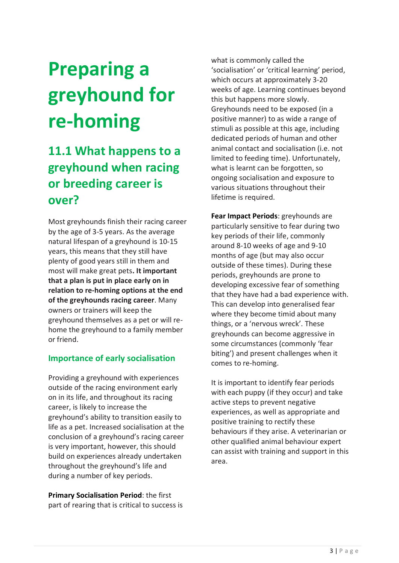## **Preparing a greyhound for re-homing**

## **11.1 What happens to a greyhound when racing or breeding career is over?**

Most greyhounds finish their racing career by the age of 3-5 years. As the average natural lifespan of a greyhound is 10-15 years, this means that they still have plenty of good years still in them and most will make great pets**. It important that a plan is put in place early on in relation to re-homing options at the end of the greyhounds racing career**. Many owners or trainers will keep the greyhound themselves as a pet or will rehome the greyhound to a family member or friend.

#### **Importance of early socialisation**

Providing a greyhound with experiences outside of the racing environment early on in its life, and throughout its racing career, is likely to increase the greyhound's ability to transition easily to life as a pet. Increased socialisation at the conclusion of a greyhound's racing career is very important, however, this should build on experiences already undertaken throughout the greyhound's life and during a number of key periods.

**Primary Socialisation Period**: the first part of rearing that is critical to success is what is commonly called the 'socialisation' or 'critical learning' period, which occurs at approximately 3-20 weeks of age. Learning continues beyond this but happens more slowly. Greyhounds need to be exposed (in a positive manner) to as wide a range of stimuli as possible at this age, including dedicated periods of human and other animal contact and socialisation (i.e. not limited to feeding time). Unfortunately, what is learnt can be forgotten, so ongoing socialisation and exposure to various situations throughout their lifetime is required.

**Fear Impact Periods**: greyhounds are particularly sensitive to fear during two key periods of their life, commonly around 8-10 weeks of age and 9-10 months of age (but may also occur outside of these times). During these periods, greyhounds are prone to developing excessive fear of something that they have had a bad experience with. This can develop into generalised fear where they become timid about many things, or a 'nervous wreck'. These greyhounds can become aggressive in some circumstances (commonly 'fear biting') and present challenges when it comes to re-homing.

It is important to identify fear periods with each puppy (if they occur) and take active steps to prevent negative experiences, as well as appropriate and positive training to rectify these behaviours if they arise. A veterinarian or other qualified animal behaviour expert can assist with training and support in this area.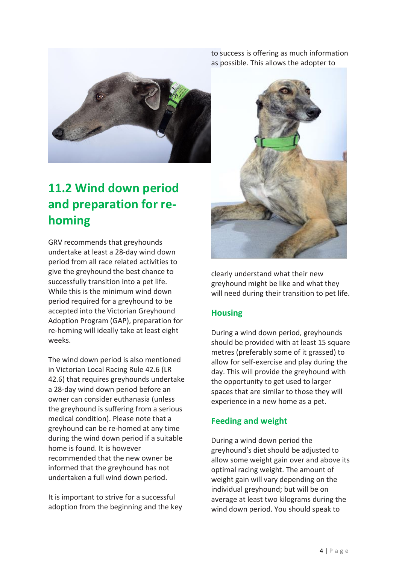

## **11.2 Wind down period and preparation for rehoming**

GRV recommends that greyhounds undertake at least a 28-day wind down period from all race related activities to give the greyhound the best chance to successfully transition into a pet life. While this is the minimum wind down period required for a greyhound to be accepted into the Victorian Greyhound Adoption Program (GAP), preparation for re-homing will ideally take at least eight weeks.

The wind down period is also mentioned in Victorian Local Racing Rule 42.6 (LR 42.6) that requires greyhounds undertake a 28-day wind down period before an owner can consider euthanasia (unless the greyhound is suffering from a serious medical condition). Please note that a greyhound can be re-homed at any time during the wind down period if a suitable home is found. It is however recommended that the new owner be informed that the greyhound has not undertaken a full wind down period.

It is important to strive for a successful adoption from the beginning and the key to success is offering as much information as possible. This allows the adopter to



clearly understand what their new greyhound might be like and what they will need during their transition to pet life.

#### **Housing**

During a wind down period, greyhounds should be provided with at least 15 square metres (preferably some of it grassed) to allow for self-exercise and play during the day. This will provide the greyhound with the opportunity to get used to larger spaces that are similar to those they will experience in a new home as a pet.

#### **Feeding and weight**

During a wind down period the greyhound's diet should be adjusted to allow some weight gain over and above its optimal racing weight. The amount of weight gain will vary depending on the individual greyhound; but will be on average at least two kilograms during the wind down period. You should speak to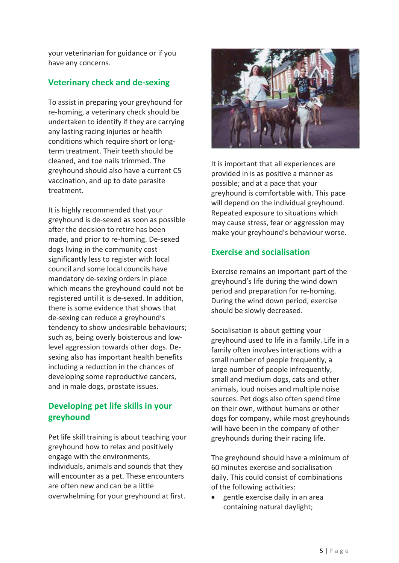your veterinarian for guidance or if you have any concerns.

#### **Veterinary check and de-sexing**

To assist in preparing your greyhound for re-homing, a veterinary check should be undertaken to identify if they are carrying any lasting racing injuries or health conditions which require short or longterm treatment. Their teeth should be cleaned, and toe nails trimmed. The greyhound should also have a current C5 vaccination, and up to date parasite treatment.

It is highly recommended that your greyhound is de-sexed as soon as possible after the decision to retire has been made, and prior to re-homing. De-sexed dogs living in the community cost significantly less to register with local council and some local councils have mandatory de-sexing orders in place which means the greyhound could not be registered until it is de-sexed. In addition, there is some evidence that shows that de-sexing can reduce a greyhound's tendency to show undesirable behaviours; such as, being overly boisterous and lowlevel aggression towards other dogs. Desexing also has important health benefits including a reduction in the chances of developing some reproductive cancers, and in male dogs, prostate issues.

#### **Developing pet life skills in your greyhound**

Pet life skill training is about teaching your greyhound how to relax and positively engage with the environments, individuals, animals and sounds that they will encounter as a pet. These encounters are often new and can be a little overwhelming for your greyhound at first.



It is important that all experiences are provided in is as positive a manner as possible; and at a pace that your greyhound is comfortable with. This pace will depend on the individual greyhound. Repeated exposure to situations which may cause stress, fear or aggression may make your greyhound's behaviour worse.

#### **Exercise and socialisation**

Exercise remains an important part of the greyhound's life during the wind down period and preparation for re-homing. During the wind down period, exercise should be slowly decreased.

Socialisation is about getting your greyhound used to life in a family. Life in a family often involves interactions with a small number of people frequently, a large number of people infrequently. small and medium dogs, cats and other animals, loud noises and multiple noise sources. Pet dogs also often spend time on their own, without humans or other dogs for company, while most greyhounds will have been in the company of other greyhounds during their racing life.

The greyhound should have a minimum of 60 minutes exercise and socialisation daily. This could consist of combinations of the following activities:

• gentle exercise daily in an area containing natural daylight;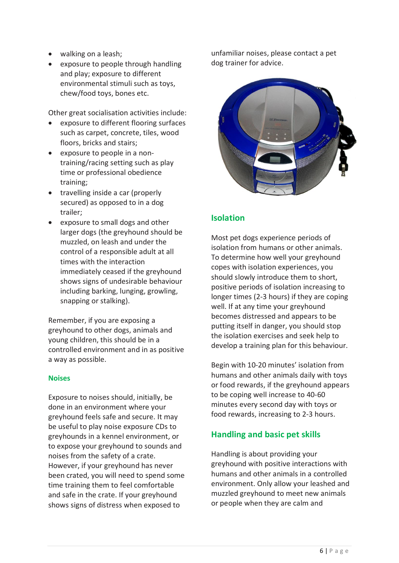- walking on a leash;
- exposure to people through handling and play; exposure to different environmental stimuli such as toys, chew/food toys, bones etc.

Other great socialisation activities include:

- exposure to different flooring surfaces such as carpet, concrete, tiles, wood floors, bricks and stairs;
- exposure to people in a nontraining/racing setting such as play time or professional obedience training;
- travelling inside a car (properly secured) as opposed to in a dog trailer;
- exposure to small dogs and other larger dogs (the greyhound should be muzzled, on leash and under the control of a responsible adult at all times with the interaction immediately ceased if the greyhound shows signs of undesirable behaviour including barking, lunging, growling, snapping or stalking).

Remember, if you are exposing a greyhound to other dogs, animals and young children, this should be in a controlled environment and in as positive a way as possible.

#### **Noises**

Exposure to noises should, initially, be done in an environment where your greyhound feels safe and secure. It may be useful to play noise exposure CDs to greyhounds in a kennel environment, or to expose your greyhound to sounds and noises from the safety of a crate. However, if your greyhound has never been crated, you will need to spend some time training them to feel comfortable and safe in the crate. If your greyhound shows signs of distress when exposed to

unfamiliar noises, please contact a pet dog trainer for advice.



#### **Isolation**

Most pet dogs experience periods of isolation from humans or other animals. To determine how well your greyhound copes with isolation experiences, you should slowly introduce them to short, positive periods of isolation increasing to longer times (2-3 hours) if they are coping well. If at any time your greyhound becomes distressed and appears to be putting itself in danger, you should stop the isolation exercises and seek help to develop a training plan for this behaviour.

Begin with 10-20 minutes' isolation from humans and other animals daily with toys or food rewards, if the greyhound appears to be coping well increase to 40-60 minutes every second day with toys or food rewards, increasing to 2-3 hours.

#### **Handling and basic pet skills**

Handling is about providing your greyhound with positive interactions with humans and other animals in a controlled environment. Only allow your leashed and muzzled greyhound to meet new animals or people when they are calm and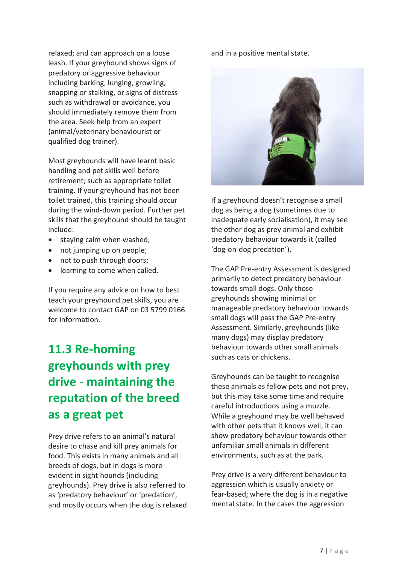relaxed; and can approach on a loose leash. If your greyhound shows signs of predatory or aggressive behaviour including barking, lunging, growling, snapping or stalking, or signs of distress such as withdrawal or avoidance, you should immediately remove them from the area. Seek help from an expert (animal/veterinary behaviourist or qualified dog trainer).

Most greyhounds will have learnt basic handling and pet skills well before retirement; such as appropriate toilet training. If your greyhound has not been toilet trained, this training should occur during the wind-down period. Further pet skills that the greyhound should be taught include:

- staying calm when washed;
- not jumping up on people;
- not to push through doors;
- learning to come when called.

If you require any advice on how to best teach your greyhound pet skills, you are welcome to contact GAP on 03 5799 0166 for information.

## **11.3 Re-homing greyhounds with prey drive - maintaining the reputation of the breed as a great pet**

Prey drive refers to an animal's natural desire to chase and kill prey animals for food. This exists in many animals and all breeds of dogs, but in dogs is more evident in sight hounds (including greyhounds). Prey drive is also referred to as 'predatory behaviour' or 'predation', and mostly occurs when the dog is relaxed and in a positive mental state.



If a greyhound doesn't recognise a small dog as being a dog (sometimes due to inadequate early socialisation), it may see the other dog as prey animal and exhibit predatory behaviour towards it (called 'dog-on-dog predation').

The GAP Pre-entry Assessment is designed primarily to detect predatory behaviour towards small dogs. Only those greyhounds showing minimal or manageable predatory behaviour towards small dogs will pass the GAP Pre-entry Assessment. Similarly, greyhounds (like many dogs) may display predatory behaviour towards other small animals such as cats or chickens.

Greyhounds can be taught to recognise these animals as fellow pets and not prey, but this may take some time and require careful introductions using a muzzle. While a greyhound may be well behaved with other pets that it knows well, it can show predatory behaviour towards other unfamiliar small animals in different environments, such as at the park.

Prey drive is a very different behaviour to aggression which is usually anxiety or fear-based; where the dog is in a negative mental state. In the cases the aggression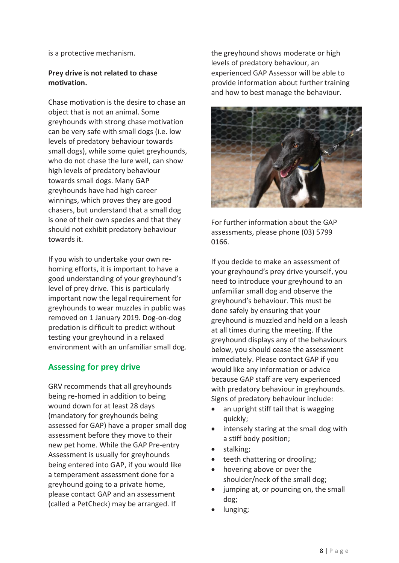is a protective mechanism.

#### **Prey drive is not related to chase motivation.**

Chase motivation is the desire to chase an object that is not an animal. Some greyhounds with strong chase motivation can be very safe with small dogs (i.e. low levels of predatory behaviour towards small dogs), while some quiet greyhounds, who do not chase the lure well, can show high levels of predatory behaviour towards small dogs. Many GAP greyhounds have had high career winnings, which proves they are good chasers, but understand that a small dog is one of their own species and that they should not exhibit predatory behaviour towards it.

If you wish to undertake your own rehoming efforts, it is important to have a good understanding of your greyhound's level of prey drive. This is particularly important now the legal requirement for greyhounds to wear muzzles in public was removed on 1 January 2019. Dog-on-dog predation is difficult to predict without testing your greyhound in a relaxed environment with an unfamiliar small dog.

#### **Assessing for prey drive**

GRV recommends that all greyhounds being re-homed in addition to being wound down for at least 28 days (mandatory for greyhounds being assessed for GAP) have a proper small dog assessment before they move to their new pet home. While the GAP Pre-entry Assessment is usually for greyhounds being entered into GAP, if you would like a temperament assessment done for a greyhound going to a private home, please contact GAP and an assessment (called a PetCheck) may be arranged. If

the greyhound shows moderate or high levels of predatory behaviour, an experienced GAP Assessor will be able to provide information about further training and how to best manage the behaviour.



For further information about the GAP assessments, please phone (03) 5799 0166.

If you decide to make an assessment of your greyhound's prey drive yourself, you need to introduce your greyhound to an unfamiliar small dog and observe the greyhound's behaviour. This must be done safely by ensuring that your greyhound is muzzled and held on a leash at all times during the meeting. If the greyhound displays any of the behaviours below, you should cease the assessment immediately. Please contact GAP if you would like any information or advice because GAP staff are very experienced with predatory behaviour in greyhounds. Signs of predatory behaviour include:

- an upright stiff tail that is wagging quickly;
- intensely staring at the small dog with a stiff body position;
- stalking;
- teeth chattering or drooling;
- hovering above or over the shoulder/neck of the small dog;
- jumping at, or pouncing on, the small dog;
- lunging;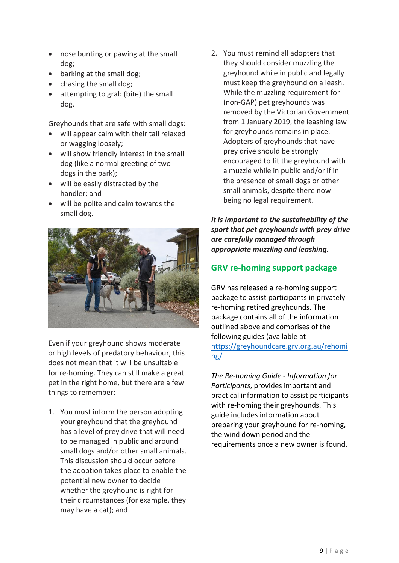- nose bunting or pawing at the small dog;
- barking at the small dog;
- chasing the small dog;
- attempting to grab (bite) the small dog.

Greyhounds that are safe with small dogs:

- will appear calm with their tail relaxed or wagging loosely;
- will show friendly interest in the small dog (like a normal greeting of two dogs in the park);
- will be easily distracted by the handler; and
- will be polite and calm towards the small dog.



Even if your greyhound shows moderate or high levels of predatory behaviour, this does not mean that it will be unsuitable for re-homing. They can still make a great pet in the right home, but there are a few things to remember:

1. You must inform the person adopting your greyhound that the greyhound has a level of prey drive that will need to be managed in public and around small dogs and/or other small animals. This discussion should occur before the adoption takes place to enable the potential new owner to decide whether the greyhound is right for their circumstances (for example, they may have a cat); and

2. You must remind all adopters that they should consider muzzling the greyhound while in public and legally must keep the greyhound on a leash. While the muzzling requirement for (non-GAP) pet greyhounds was removed by the Victorian Government from 1 January 2019, the leashing law for greyhounds remains in place. Adopters of greyhounds that have prey drive should be strongly encouraged to fit the greyhound with a muzzle while in public and/or if in the presence of small dogs or other small animals, despite there now being no legal requirement.

#### *It is important to the sustainability of the sport that pet greyhounds with prey drive are carefully managed through appropriate muzzling and leashing.*

#### **GRV re-homing support package**

GRV has released a re-homing support package to assist participants in privately re-homing retired greyhounds. The package contains all of the information outlined above and comprises of the following guides (available at [https://greyhoundcare.grv.org.au/rehomi](https://greyhoundcare.grv.org.au/rehoming/) [ng/](https://greyhoundcare.grv.org.au/rehoming/)

*The [Re-homing Guide -](https://greyhoundcare.grv.org.au/wp-content/uploads/2018/11/re-homing_package_information_for_participants_011218.pdf) Information for [Participants](https://greyhoundcare.grv.org.au/wp-content/uploads/2018/11/re-homing_package_information_for_participants_011218.pdf)*, provides important and practical information to assist participants with re-homing their greyhounds. This guide includes information about preparing your greyhound for re-homing, the wind down period and the requirements once a new owner is found.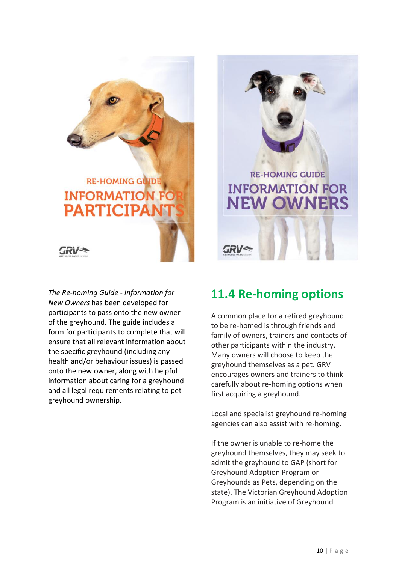## **RE-HOMING GUIDE INFORMATION PARTICIPAL**



*The Re-homing Guide - [Information for](https://greyhoundcare.grv.org.au/wp-content/uploads/2018/11/re-homing_package_information_for_new_owners_011218.pdf)  [New Owners](https://greyhoundcare.grv.org.au/wp-content/uploads/2018/11/re-homing_package_information_for_new_owners_011218.pdf)* has been developed for participants to pass onto the new owner of the greyhound. The guide includes a form for participants to complete that will ensure that all relevant information about the specific greyhound (including any health and/or behaviour issues) is passed onto the new owner, along with helpful information about caring for a greyhound and all legal requirements relating to pet greyhound ownership.

### **11.4 Re-homing options**

**RE-HOMING GUIDE** 

**INFORMATION FOR** 

**NEW OWNERS** 

A common place for a retired greyhound to be re-homed is through friends and family of owners, trainers and contacts of other participants within the industry. Many owners will choose to keep the greyhound themselves as a pet. GRV encourages owners and trainers to think carefully about re-homing options when first acquiring a greyhound.

Local and specialist greyhound re-homing agencies can also assist with re-homing.

If the owner is unable to re-home the greyhound themselves, they may seek to admit the greyhound to GAP (short for Greyhound Adoption Program or Greyhounds as Pets, depending on the state). The Victorian Greyhound Adoption Program is an initiative of Greyhound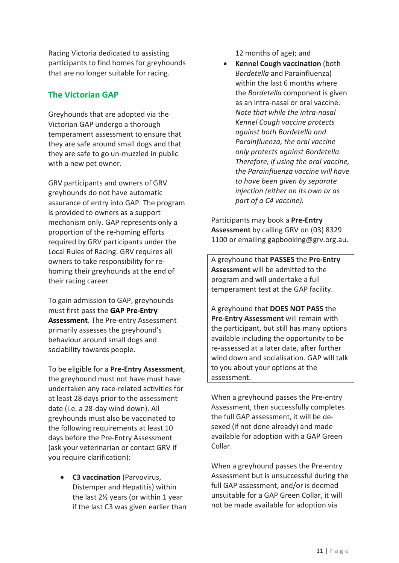Racing Victoria dedicated to assisting participants to find homes for greyhounds that are no longer suitable for racing.

#### **The Victorian GAP**

Greyhounds that are adopted via the Victorian GAP undergo a thorough temperament assessment to ensure that they are safe around small dogs and that they are safe to go un-muzzled in public with a new pet owner.

GRV participants and owners of GRV greyhounds do not have automatic assurance of entry into GAP. The program is provided to owners as a support mechanism only. GAP represents only a proportion of the re-homing efforts required by GRV participants under the Local Rules of Racing. GRV requires all owners to take responsibility for rehoming their greyhounds at the end of their racing career.

To gain admission to GAP, greyhounds must first pass the **GAP Pre-Entry Assessment**. The Pre-entry Assessment primarily assesses the greyhound's behaviour around small dogs and sociability towards people.

To be eligible for a **Pre-Entry Assessment**, the greyhound must not have must have undertaken any race-related activities for at least 28 days prior to the assessment date (i.e. a 28-day wind down). All greyhounds must also be vaccinated to the following requirements at least 10 days before the Pre-Entry Assessment (ask your veterinarian or contact GRV if you require clarification):

• **C3 vaccination** (Parvovirus, Distemper and Hepatitis) within the last 2½ years (or within 1 year if the last C3 was given earlier than 12 months of age); and

• **Kennel Cough vaccination** (both *Bordetella* and Parainfluenza) within the last 6 months where the *Bordetella* component is given as an intra-nasal or oral vaccine. *Note that while the intra-nasal Kennel Cough vaccine protects against both Bordetella and Parainfluenza, the oral vaccine only protects against Bordetella. Therefore, if using the oral vaccine, the Parainfluenza vaccine will have to have been given by separate injection (either on its own or as part of a C4 vaccine).*

Participants may book a **Pre-Entry Assessment** by calling GRV on (03) 8329 1100 or emailing gapbooking@grv.org.au.

A greyhound that **PASSES** the **Pre-Entry Assessment** will be admitted to the program and will undertake a full temperament test at the GAP facility.

A greyhound that **DOES NOT PASS** the **Pre-Entry Assessment** will remain with the participant, but still has many options available including the opportunity to be re-assessed at a later date, after further wind down and socialisation. GAP will talk to you about your options at the assessment.

When a greyhound passes the Pre-entry Assessment, then successfully completes the full GAP assessment, it will be desexed (if not done already) and made available for adoption with a GAP Green Collar.

When a greyhound passes the Pre-entry Assessment but is unsuccessful during the full GAP assessment, and/or is deemed unsuitable for a GAP Green Collar, it will not be made available for adoption via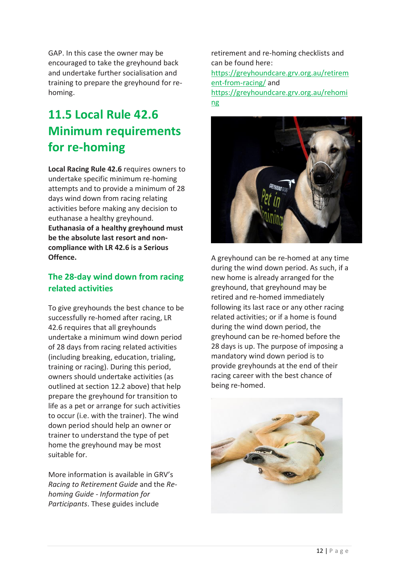GAP. In this case the owner may be encouraged to take the greyhound back and undertake further socialisation and training to prepare the greyhound for rehoming.

## **11.5 Local Rule 42.6 Minimum requirements for re-homing**

**Local Racing Rule 42.6** requires owners to undertake specific minimum re-homing attempts and to provide a minimum of 28 days wind down from racing relating activities before making any decision to euthanase a healthy greyhound. **Euthanasia of a healthy greyhound must be the absolute last resort and noncompliance with LR 42.6 is a Serious Offence.** 

#### **The 28-day wind down from racing related activities**

To give greyhounds the best chance to be successfully re-homed after racing, LR 42.6 requires that all greyhounds undertake a minimum wind down period of 28 days from racing related activities (including breaking, education, trialing, training or racing). During this period, owners should undertake activities (as outlined at section 12.2 above) that help prepare the greyhound for transition to life as a pet or arrange for such activities to occur (i.e. with the trainer). The wind down period should help an owner or trainer to understand the type of pet home the greyhound may be most suitable for.

More information is available in GRV's *Racing to Retirement Guide* and the *Rehoming Guide - Information for Participants*. These guides include

retirement and re-homing checklists and can be found here: [https://greyhoundcare.grv.org.au/retirem](https://greyhoundcare.grv.org.au/retirement-from-racing/) [ent-from-racing/](https://greyhoundcare.grv.org.au/retirement-from-racing/) and [https://greyhoundcare.grv.org.au/rehomi](https://greyhoundcare.grv.org.au/rehoming) [ng](https://greyhoundcare.grv.org.au/rehoming)



A greyhound can be re-homed at any time during the wind down period. As such, if a new home is already arranged for the greyhound, that greyhound may be retired and re-homed immediately following its last race or any other racing related activities; or if a home is found during the wind down period, the greyhound can be re-homed before the 28 days is up. The purpose of imposing a mandatory wind down period is to provide greyhounds at the end of their racing career with the best chance of being re-homed.

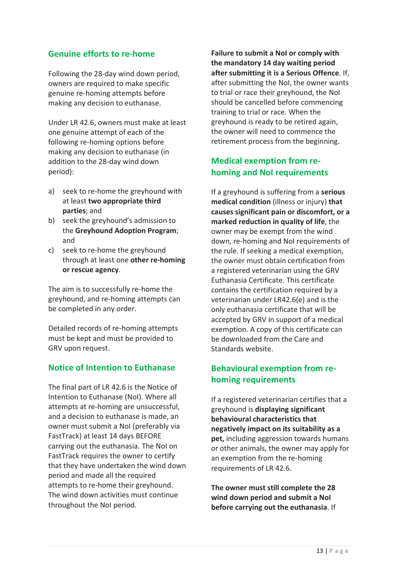#### **Genuine efforts to re-home**

Following the 28-day wind down period, owners are required to make specific genuine re-homing attempts before making any decision to euthanase.

Under LR 42.6, owners must make at least one genuine attempt of each of the following re-homing options before making any decision to euthanase (in addition to the 28-day wind down period):

- a) seek to re-home the greyhound with at least **two appropriate third parties**; and
- b) seek the greyhound's admission to the **Greyhound Adoption Program**; and
- c) seek to re-home the greyhound through at least one **other re-homing or rescue agency**.

The aim is to successfully re-home the greyhound, and re-homing attempts can be completed in any order.

Detailed records of re-homing attempts must be kept and must be provided to GRV upon request.

#### **Notice of Intention to Euthanase**

The final part of LR 42.6 is the Notice of Intention to Euthanase (NoI). Where all attempts at re-homing are unsuccessful, and a decision to euthanase is made, an owner must submit a NoI (preferably via FastTrack) at least 14 days BEFORE carrying out the euthanasia. The NoI on FastTrack requires the owner to certify that they have undertaken the wind down period and made all the required attempts to re-home their greyhound. The wind down activities must continue throughout the NoI period.

**Failure to submit a NoI or comply with the mandatory 14 day waiting period after submitting it is a Serious Offence**. If, after submitting the NoI, the owner wants to trial or race their greyhound, the NoI should be cancelled before commencing training to trial or race. When the greyhound is ready to be retired again, the owner will need to commence the retirement process from the beginning.

#### **Medical exemption from rehoming and NoI requirements**

If a greyhound is suffering from a **serious medical condition** (illness or injury) **that causes significant pain or discomfort, or a marked reduction in quality of life**, the owner may be exempt from the wind down, re-homing and NoI requirements of the rule. If seeking a medical exemption, the owner must obtain certification from a registered veterinarian using the GRV Euthanasia Certificate. This certificate contains the certification required by a veterinarian under LR42.6(e) and is the only euthanasia certificate that will be accepted by GRV in support of a medical exemption. A copy of this certificate can be downloaded from the Care and Standards website.

#### **Behavioural exemption from rehoming requirements**

If a registered veterinarian certifies that a greyhound is **displaying significant behavioural characteristics that negatively impact on its suitability as a pet,** including aggression towards humans or other animals, the owner may apply for an exemption from the re-homing requirements of LR 42.6.

**The owner must still complete the 28 wind down period and submit a NoI before carrying out the euthanasia**. If